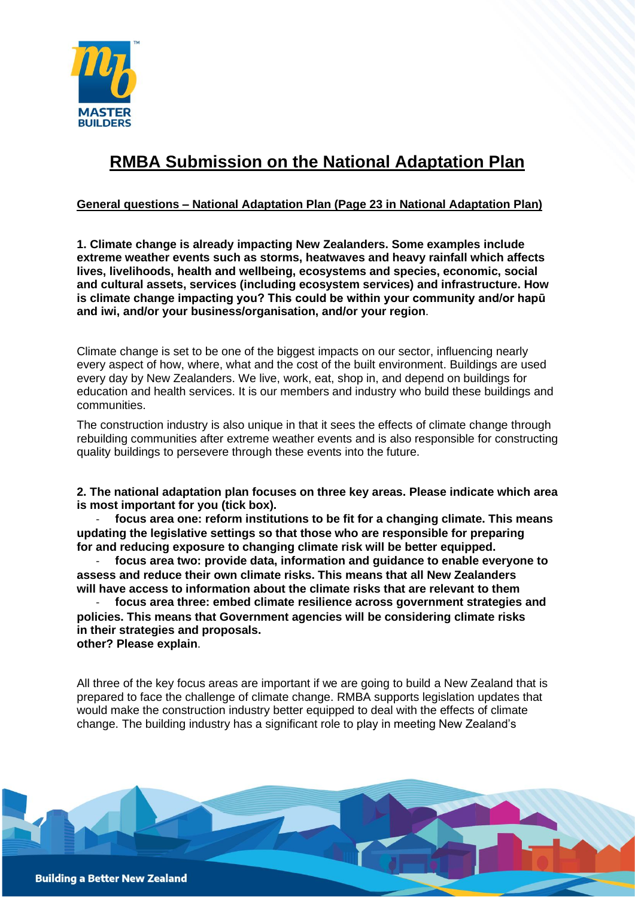

# **RMBA Submission on the National Adaptation Plan**

## **General questions – National Adaptation Plan (Page 23 in National Adaptation Plan)**

**1. Climate change is already impacting New Zealanders. Some examples include extreme weather events such as storms, heatwaves and heavy rainfall which affects lives, livelihoods, health and wellbeing, ecosystems and species, economic, social and cultural assets, services (including ecosystem services) and infrastructure. How is climate change impacting you? This could be within your community and/or hapū and iwi, and/or your business/organisation, and/or your region**.

Climate change is set to be one of the biggest impacts on our sector, influencing nearly every aspect of how, where, what and the cost of the built environment. Buildings are used every day by New Zealanders. We live, work, eat, shop in, and depend on buildings for education and health services. It is our members and industry who build these buildings and communities.

The construction industry is also unique in that it sees the effects of climate change through rebuilding communities after extreme weather events and is also responsible for constructing quality buildings to persevere through these events into the future.

**2. The national adaptation plan focuses on three key areas. Please indicate which area is most important for you (tick box).**

- **focus area one: reform institutions to be fit for a changing climate. This means updating the legislative settings so that those who are responsible for preparing for and reducing exposure to changing climate risk will be better equipped.**

- **focus area two: provide data, information and guidance to enable everyone to assess and reduce their own climate risks. This means that all New Zealanders will have access to information about the climate risks that are relevant to them**

- **focus area three: embed climate resilience across government strategies and policies. This means that Government agencies will be considering climate risks in their strategies and proposals. other? Please explain**.

All three of the key focus areas are important if we are going to build a New Zealand that is prepared to face the challenge of climate change. RMBA supports legislation updates that would make the construction industry better equipped to deal with the effects of climate change. The building industry has a significant role to play in meeting New Zealand's

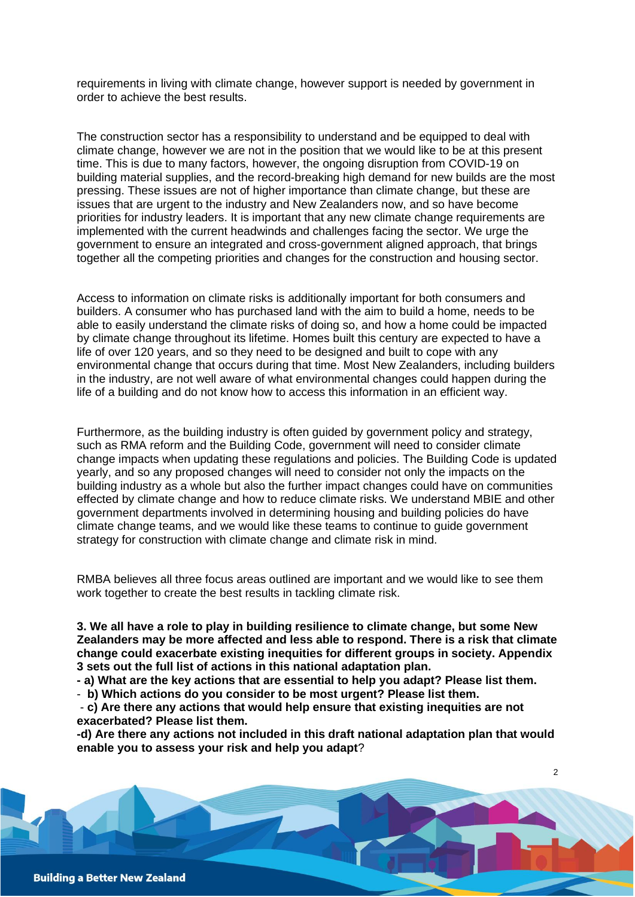requirements in living with climate change, however support is needed by government in order to achieve the best results.

The construction sector has a responsibility to understand and be equipped to deal with climate change, however we are not in the position that we would like to be at this present time. This is due to many factors, however, the ongoing disruption from COVID-19 on building material supplies, and the record-breaking high demand for new builds are the most pressing. These issues are not of higher importance than climate change, but these are issues that are urgent to the industry and New Zealanders now, and so have become priorities for industry leaders. It is important that any new climate change requirements are implemented with the current headwinds and challenges facing the sector. We urge the government to ensure an integrated and cross-government aligned approach, that brings together all the competing priorities and changes for the construction and housing sector.

Access to information on climate risks is additionally important for both consumers and builders. A consumer who has purchased land with the aim to build a home, needs to be able to easily understand the climate risks of doing so, and how a home could be impacted by climate change throughout its lifetime. Homes built this century are expected to have a life of over 120 years, and so they need to be designed and built to cope with any environmental change that occurs during that time. Most New Zealanders, including builders in the industry, are not well aware of what environmental changes could happen during the life of a building and do not know how to access this information in an efficient way.

Furthermore, as the building industry is often guided by government policy and strategy, such as RMA reform and the Building Code, government will need to consider climate change impacts when updating these regulations and policies. The Building Code is updated yearly, and so any proposed changes will need to consider not only the impacts on the building industry as a whole but also the further impact changes could have on communities effected by climate change and how to reduce climate risks. We understand MBIE and other government departments involved in determining housing and building policies do have climate change teams, and we would like these teams to continue to guide government strategy for construction with climate change and climate risk in mind.

RMBA believes all three focus areas outlined are important and we would like to see them work together to create the best results in tackling climate risk.

**3. We all have a role to play in building resilience to climate change, but some New Zealanders may be more affected and less able to respond. There is a risk that climate change could exacerbate existing inequities for different groups in society. Appendix 3 sets out the full list of actions in this national adaptation plan.**

**- a) What are the key actions that are essential to help you adapt? Please list them.** 

- **b) Which actions do you consider to be most urgent? Please list them.** 

- **c) Are there any actions that would help ensure that existing inequities are not exacerbated? Please list them.** 

**-d) Are there any actions not included in this draft national adaptation plan that would enable you to assess your risk and help you adapt**?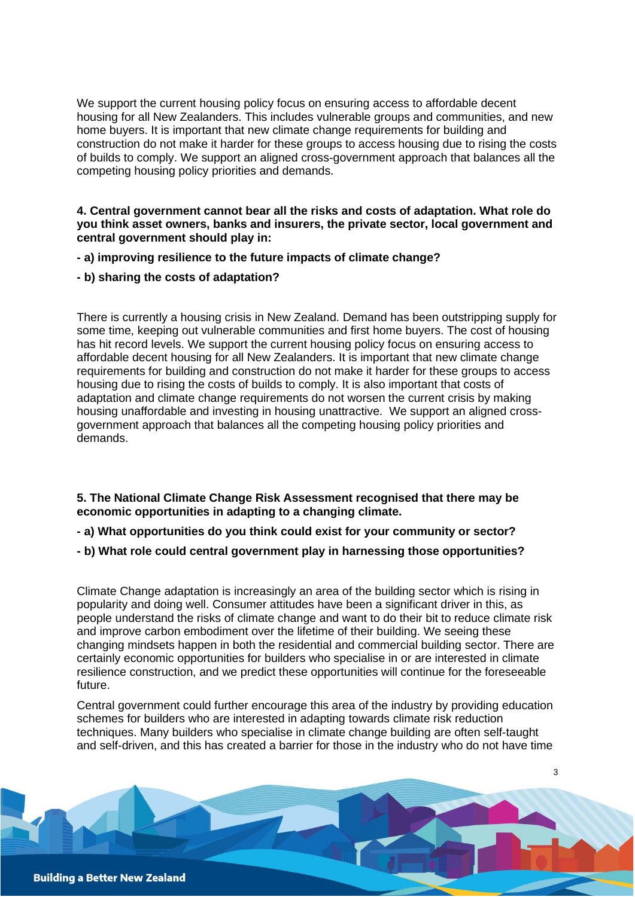We support the current housing policy focus on ensuring access to affordable decent housing for all New Zealanders. This includes vulnerable groups and communities, and new home buyers. It is important that new climate change requirements for building and construction do not make it harder for these groups to access housing due to rising the costs of builds to comply. We support an aligned cross-government approach that balances all the competing housing policy priorities and demands.

### **4. Central government cannot bear all the risks and costs of adaptation. What role do you think asset owners, banks and insurers, the private sector, local government and central government should play in:**

- **- a) improving resilience to the future impacts of climate change?**
- **- b) sharing the costs of adaptation?**

There is currently a housing crisis in New Zealand. Demand has been outstripping supply for some time, keeping out vulnerable communities and first home buyers. The cost of housing has hit record levels. We support the current housing policy focus on ensuring access to affordable decent housing for all New Zealanders. It is important that new climate change requirements for building and construction do not make it harder for these groups to access housing due to rising the costs of builds to comply. It is also important that costs of adaptation and climate change requirements do not worsen the current crisis by making housing unaffordable and investing in housing unattractive. We support an aligned crossgovernment approach that balances all the competing housing policy priorities and demands.

#### **5. The National Climate Change Risk Assessment recognised that there may be economic opportunities in adapting to a changing climate.**

- **- a) What opportunities do you think could exist for your community or sector?**
- **- b) What role could central government play in harnessing those opportunities?**

Climate Change adaptation is increasingly an area of the building sector which is rising in popularity and doing well. Consumer attitudes have been a significant driver in this, as people understand the risks of climate change and want to do their bit to reduce climate risk and improve carbon embodiment over the lifetime of their building. We seeing these changing mindsets happen in both the residential and commercial building sector. There are certainly economic opportunities for builders who specialise in or are interested in climate resilience construction, and we predict these opportunities will continue for the foreseeable future.

Central government could further encourage this area of the industry by providing education schemes for builders who are interested in adapting towards climate risk reduction techniques. Many builders who specialise in climate change building are often self-taught and self-driven, and this has created a barrier for those in the industry who do not have time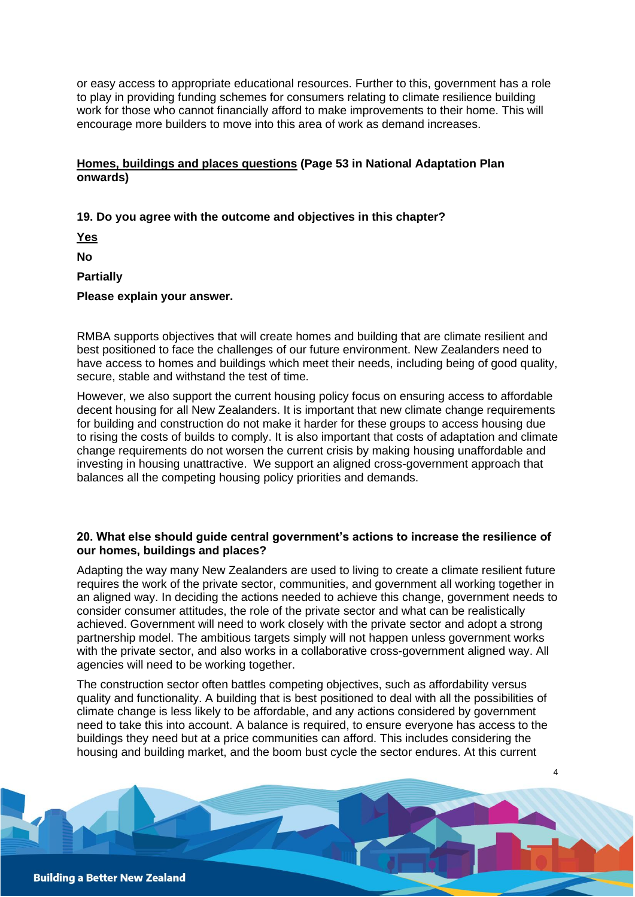or easy access to appropriate educational resources. Further to this, government has a role to play in providing funding schemes for consumers relating to climate resilience building work for those who cannot financially afford to make improvements to their home. This will encourage more builders to move into this area of work as demand increases.

## **Homes, buildings and places questions (Page 53 in National Adaptation Plan onwards)**

## **19. Do you agree with the outcome and objectives in this chapter?**

**Yes**

**No**

**Partially**

**Please explain your answer.**

RMBA supports objectives that will create homes and building that are climate resilient and best positioned to face the challenges of our future environment. New Zealanders need to have access to homes and buildings which meet their needs, including being of good quality, secure, stable and withstand the test of time.

However, we also support the current housing policy focus on ensuring access to affordable decent housing for all New Zealanders. It is important that new climate change requirements for building and construction do not make it harder for these groups to access housing due to rising the costs of builds to comply. It is also important that costs of adaptation and climate change requirements do not worsen the current crisis by making housing unaffordable and investing in housing unattractive. We support an aligned cross-government approach that balances all the competing housing policy priorities and demands.

#### **20. What else should guide central government's actions to increase the resilience of our homes, buildings and places?**

Adapting the way many New Zealanders are used to living to create a climate resilient future requires the work of the private sector, communities, and government all working together in an aligned way. In deciding the actions needed to achieve this change, government needs to consider consumer attitudes, the role of the private sector and what can be realistically achieved. Government will need to work closely with the private sector and adopt a strong partnership model. The ambitious targets simply will not happen unless government works with the private sector, and also works in a collaborative cross-government aligned way. All agencies will need to be working together.

The construction sector often battles competing objectives, such as affordability versus quality and functionality. A building that is best positioned to deal with all the possibilities of climate change is less likely to be affordable, and any actions considered by government need to take this into account. A balance is required, to ensure everyone has access to the buildings they need but at a price communities can afford. This includes considering the housing and building market, and the boom bust cycle the sector endures. At this current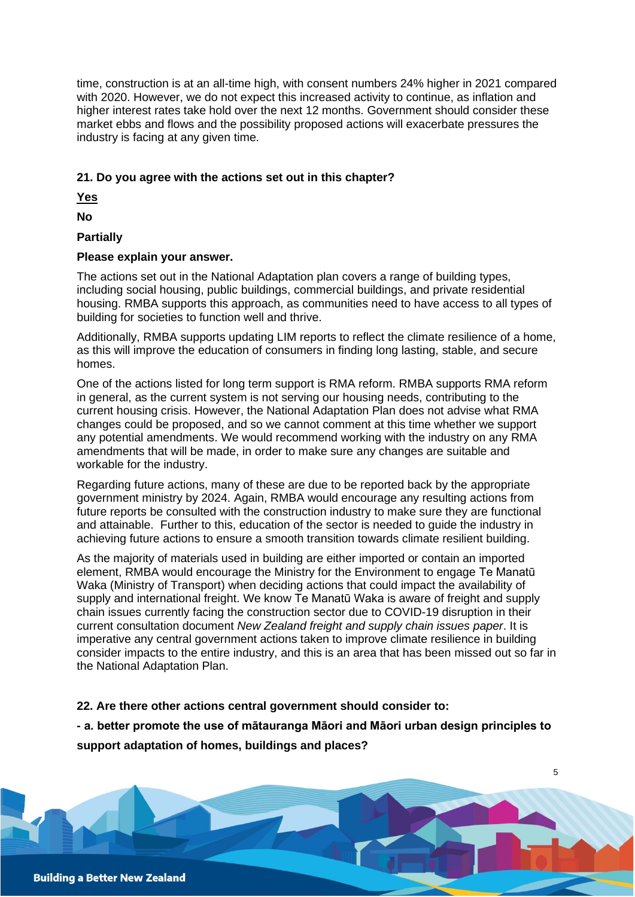time, construction is at an all-time high, with consent numbers 24% higher in 2021 compared with 2020. However, we do not expect this increased activity to continue, as inflation and higher interest rates take hold over the next 12 months. Government should consider these market ebbs and flows and the possibility proposed actions will exacerbate pressures the industry is facing at any given time.

## **21. Do you agree with the actions set out in this chapter?**

**Yes**

**No**

# **Partially**

## **Please explain your answer.**

The actions set out in the National Adaptation plan covers a range of building types, including social housing, public buildings, commercial buildings, and private residential housing. RMBA supports this approach, as communities need to have access to all types of building for societies to function well and thrive.

Additionally, RMBA supports updating LIM reports to reflect the climate resilience of a home, as this will improve the education of consumers in finding long lasting, stable, and secure homes.

One of the actions listed for long term support is RMA reform. RMBA supports RMA reform in general, as the current system is not serving our housing needs, contributing to the current housing crisis. However, the National Adaptation Plan does not advise what RMA changes could be proposed, and so we cannot comment at this time whether we support any potential amendments. We would recommend working with the industry on any RMA amendments that will be made, in order to make sure any changes are suitable and workable for the industry.

Regarding future actions, many of these are due to be reported back by the appropriate government ministry by 2024. Again, RMBA would encourage any resulting actions from future reports be consulted with the construction industry to make sure they are functional and attainable. Further to this, education of the sector is needed to guide the industry in achieving future actions to ensure a smooth transition towards climate resilient building.

As the majority of materials used in building are either imported or contain an imported element, RMBA would encourage the Ministry for the Environment to engage Te Manatū Waka (Ministry of Transport) when deciding actions that could impact the availability of supply and international freight. We know Te Manatū Waka is aware of freight and supply chain issues currently facing the construction sector due to COVID-19 disruption in their current consultation document *New Zealand freight and supply chain issues paper*. It is imperative any central government actions taken to improve climate resilience in building consider impacts to the entire industry, and this is an area that has been missed out so far in the National Adaptation Plan.

# **22. Are there other actions central government should consider to:**

**- a. better promote the use of mātauranga Māori and Māori urban design principles to support adaptation of homes, buildings and places?**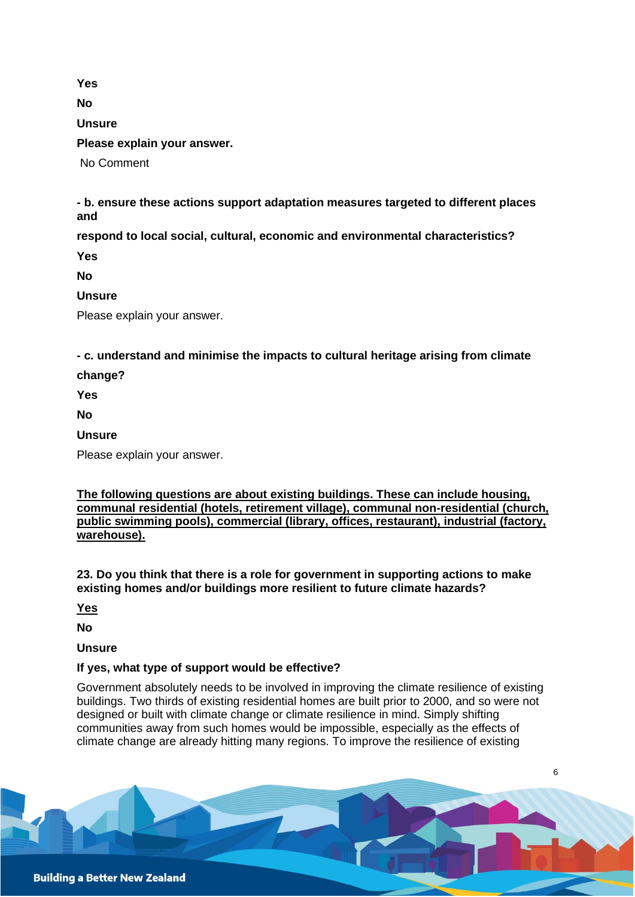**Yes No Unsure Please explain your answer.** No Comment

**- b. ensure these actions support adaptation measures targeted to different places and** 

**respond to local social, cultural, economic and environmental characteristics?** 

**Yes**

**No**

**Unsure**

Please explain your answer.

# **- c. understand and minimise the impacts to cultural heritage arising from climate**

**change?** 

**Yes**

**No**

**Unsure**

Please explain your answer.

**The following questions are about existing buildings. These can include housing, communal residential (hotels, retirement village), communal non-residential (church, public swimming pools), commercial (library, offices, restaurant), industrial (factory, warehouse).** 

**23. Do you think that there is a role for government in supporting actions to make existing homes and/or buildings more resilient to future climate hazards?** 

**Yes**

**No**

**Unsure**

# **If yes, what type of support would be effective?**

Government absolutely needs to be involved in improving the climate resilience of existing buildings. Two thirds of existing residential homes are built prior to 2000, and so were not designed or built with climate change or climate resilience in mind. Simply shifting communities away from such homes would be impossible, especially as the effects of climate change are already hitting many regions. To improve the resilience of existing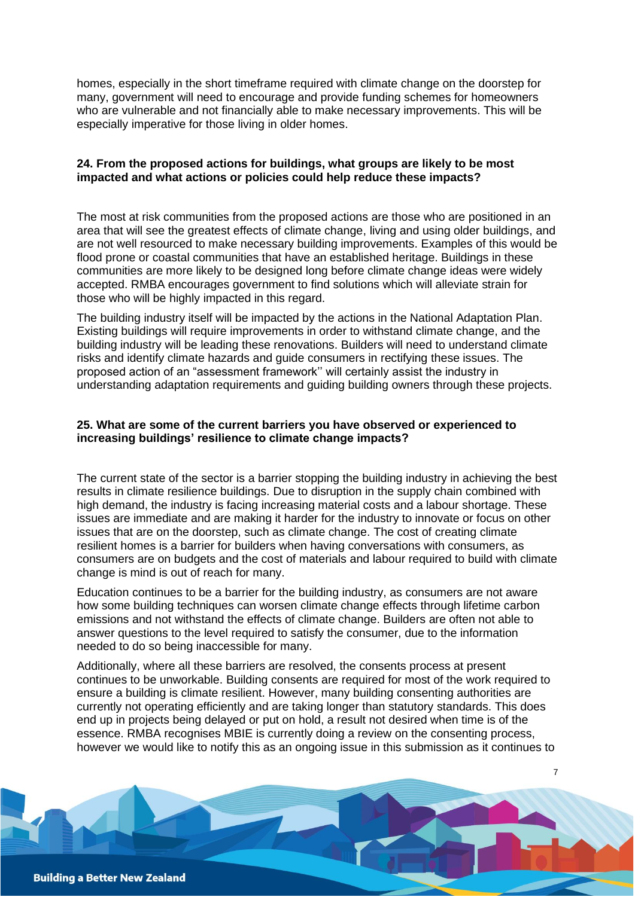homes, especially in the short timeframe required with climate change on the doorstep for many, government will need to encourage and provide funding schemes for homeowners who are vulnerable and not financially able to make necessary improvements. This will be especially imperative for those living in older homes.

#### **24. From the proposed actions for buildings, what groups are likely to be most impacted and what actions or policies could help reduce these impacts?**

The most at risk communities from the proposed actions are those who are positioned in an area that will see the greatest effects of climate change, living and using older buildings, and are not well resourced to make necessary building improvements. Examples of this would be flood prone or coastal communities that have an established heritage. Buildings in these communities are more likely to be designed long before climate change ideas were widely accepted. RMBA encourages government to find solutions which will alleviate strain for those who will be highly impacted in this regard.

The building industry itself will be impacted by the actions in the National Adaptation Plan. Existing buildings will require improvements in order to withstand climate change, and the building industry will be leading these renovations. Builders will need to understand climate risks and identify climate hazards and guide consumers in rectifying these issues. The proposed action of an "assessment framework'' will certainly assist the industry in understanding adaptation requirements and guiding building owners through these projects.

#### **25. What are some of the current barriers you have observed or experienced to increasing buildings' resilience to climate change impacts?**

The current state of the sector is a barrier stopping the building industry in achieving the best results in climate resilience buildings. Due to disruption in the supply chain combined with high demand, the industry is facing increasing material costs and a labour shortage. These issues are immediate and are making it harder for the industry to innovate or focus on other issues that are on the doorstep, such as climate change. The cost of creating climate resilient homes is a barrier for builders when having conversations with consumers, as consumers are on budgets and the cost of materials and labour required to build with climate change is mind is out of reach for many.

Education continues to be a barrier for the building industry, as consumers are not aware how some building techniques can worsen climate change effects through lifetime carbon emissions and not withstand the effects of climate change. Builders are often not able to answer questions to the level required to satisfy the consumer, due to the information needed to do so being inaccessible for many.

Additionally, where all these barriers are resolved, the consents process at present continues to be unworkable. Building consents are required for most of the work required to ensure a building is climate resilient. However, many building consenting authorities are currently not operating efficiently and are taking longer than statutory standards. This does end up in projects being delayed or put on hold, a result not desired when time is of the essence. RMBA recognises MBIE is currently doing a review on the consenting process, however we would like to notify this as an ongoing issue in this submission as it continues to